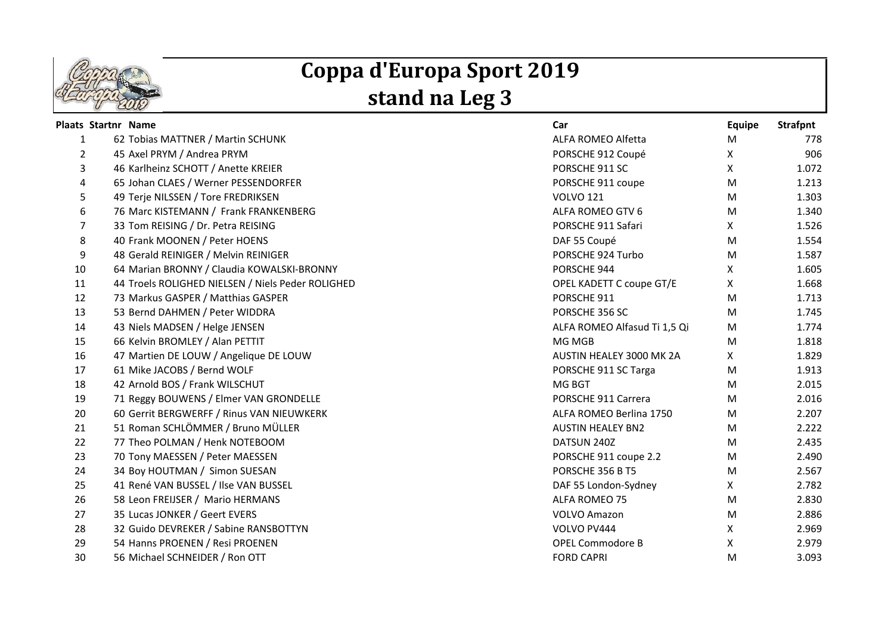

## **Coppa d'Europa Sport 2019 stand na Leg 3**

|                | <b>Plaats Startnr Name</b> |                                                   | Car                          | <b>Equipe</b> | <b>Strafpnt</b> |
|----------------|----------------------------|---------------------------------------------------|------------------------------|---------------|-----------------|
| 1              |                            | 62 Tobias MATTNER / Martin SCHUNK                 | ALFA ROMEO Alfetta           | м             | 778             |
| $\overline{2}$ |                            | 45 Axel PRYM / Andrea PRYM                        | PORSCHE 912 Coupé            | X             | 906             |
| 3              |                            | 46 Karlheinz SCHOTT / Anette KREIER               | PORSCHE 911 SC               | X             | 1.072           |
| 4              |                            | 65 Johan CLAES / Werner PESSENDORFER              | PORSCHE 911 coupe            | M             | 1.213           |
| 5              |                            | 49 Terje NILSSEN / Tore FREDRIKSEN                | <b>VOLVO 121</b>             | M             | 1.303           |
| 6              |                            | 76 Marc KISTEMANN / Frank FRANKENBERG             | ALFA ROMEO GTV 6             | M             | 1.340           |
| 7              |                            | 33 Tom REISING / Dr. Petra REISING                | PORSCHE 911 Safari           | X             | 1.526           |
| 8              |                            | 40 Frank MOONEN / Peter HOENS                     | DAF 55 Coupé                 | M             | 1.554           |
| 9              |                            | 48 Gerald REINIGER / Melvin REINIGER              | PORSCHE 924 Turbo            | М             | 1.587           |
| 10             |                            | 64 Marian BRONNY / Claudia KOWALSKI-BRONNY        | PORSCHE 944                  | X             | 1.605           |
| 11             |                            | 44 Troels ROLIGHED NIELSEN / Niels Peder ROLIGHED | OPEL KADETT C coupe GT/E     | X.            | 1.668           |
| 12             |                            | 73 Markus GASPER / Matthias GASPER                | PORSCHE 911                  | M             | 1.713           |
| 13             |                            | 53 Bernd DAHMEN / Peter WIDDRA                    | PORSCHE 356 SC               | M             | 1.745           |
| 14             |                            | 43 Niels MADSEN / Helge JENSEN                    | ALFA ROMEO Alfasud Ti 1,5 Qi | M             | 1.774           |
| 15             |                            | 66 Kelvin BROMLEY / Alan PETTIT                   | MG MGB                       | M             | 1.818           |
| 16             |                            | 47 Martien DE LOUW / Angelique DE LOUW            | AUSTIN HEALEY 3000 MK 2A     | X             | 1.829           |
| 17             |                            | 61 Mike JACOBS / Bernd WOLF                       | PORSCHE 911 SC Targa         | M             | 1.913           |
| 18             |                            | 42 Arnold BOS / Frank WILSCHUT                    | MG BGT                       | M             | 2.015           |
| 19             |                            | 71 Reggy BOUWENS / Elmer VAN GRONDELLE            | PORSCHE 911 Carrera          | M             | 2.016           |
| 20             |                            | 60 Gerrit BERGWERFF / Rinus VAN NIEUWKERK         | ALFA ROMEO Berlina 1750      | M             | 2.207           |
| 21             |                            | 51 Roman SCHLÖMMER / Bruno MÜLLER                 | <b>AUSTIN HEALEY BN2</b>     | M             | 2.222           |
| 22             |                            | 77 Theo POLMAN / Henk NOTEBOOM                    | DATSUN 240Z                  | M             | 2.435           |
| 23             |                            | 70 Tony MAESSEN / Peter MAESSEN                   | PORSCHE 911 coupe 2.2        | M             | 2.490           |
| 24             |                            | 34 Boy HOUTMAN / Simon SUESAN                     | PORSCHE 356 B T5             | M             | 2.567           |
| 25             |                            | 41 René VAN BUSSEL / Ilse VAN BUSSEL              | DAF 55 London-Sydney         | X.            | 2.782           |
| 26             |                            | 58 Leon FREIJSER / Mario HERMANS                  | ALFA ROMEO 75                | M             | 2.830           |
| 27             |                            | 35 Lucas JONKER / Geert EVERS                     | <b>VOLVO Amazon</b>          | M             | 2.886           |
| 28             |                            | 32 Guido DEVREKER / Sabine RANSBOTTYN             | VOLVO PV444                  | X             | 2.969           |
| 29             |                            | 54 Hanns PROENEN / Resi PROENEN                   | <b>OPEL Commodore B</b>      | Χ             | 2.979           |
| 30             |                            | 56 Michael SCHNEIDER / Ron OTT                    | <b>FORD CAPRI</b>            | M             | 3.093           |